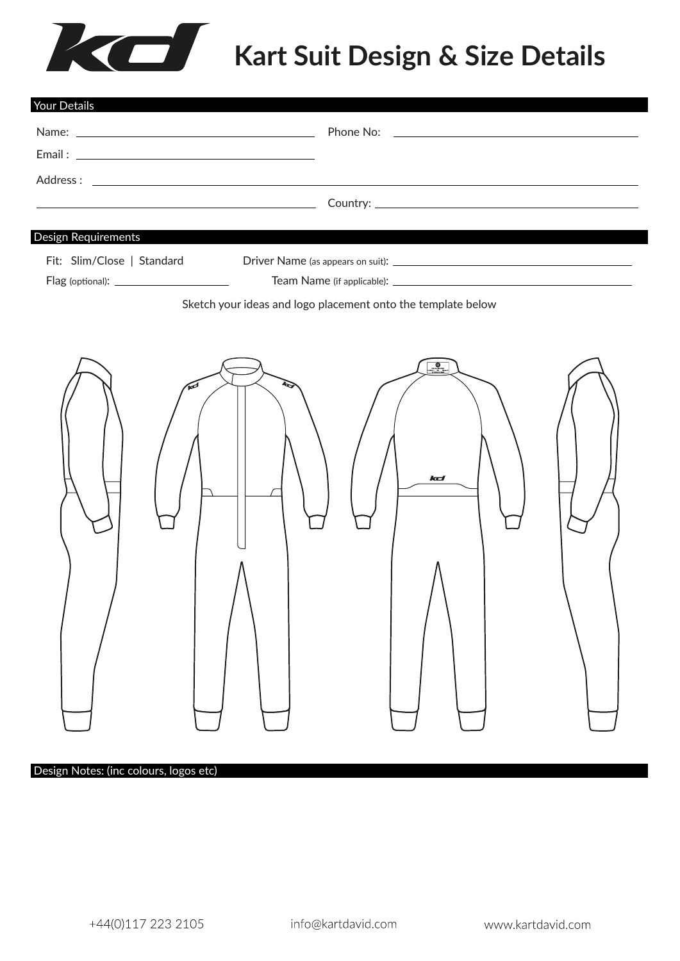# Kart Suit Design & Size Details

| <u> 1989 - Johann Barbara, martxa alemaniar arg</u><br><b>Design Requirements</b><br>Fit: Slim/Close   Standard<br>Sketch your ideas and logo placement onto the template below<br>kd | Your Details |
|---------------------------------------------------------------------------------------------------------------------------------------------------------------------------------------|--------------|
|                                                                                                                                                                                       |              |
|                                                                                                                                                                                       |              |
|                                                                                                                                                                                       |              |
|                                                                                                                                                                                       |              |
|                                                                                                                                                                                       |              |
|                                                                                                                                                                                       |              |
|                                                                                                                                                                                       |              |
|                                                                                                                                                                                       |              |
|                                                                                                                                                                                       |              |
|                                                                                                                                                                                       |              |
|                                                                                                                                                                                       |              |
|                                                                                                                                                                                       |              |

#### Design Notes: (inc colours, logos etc)